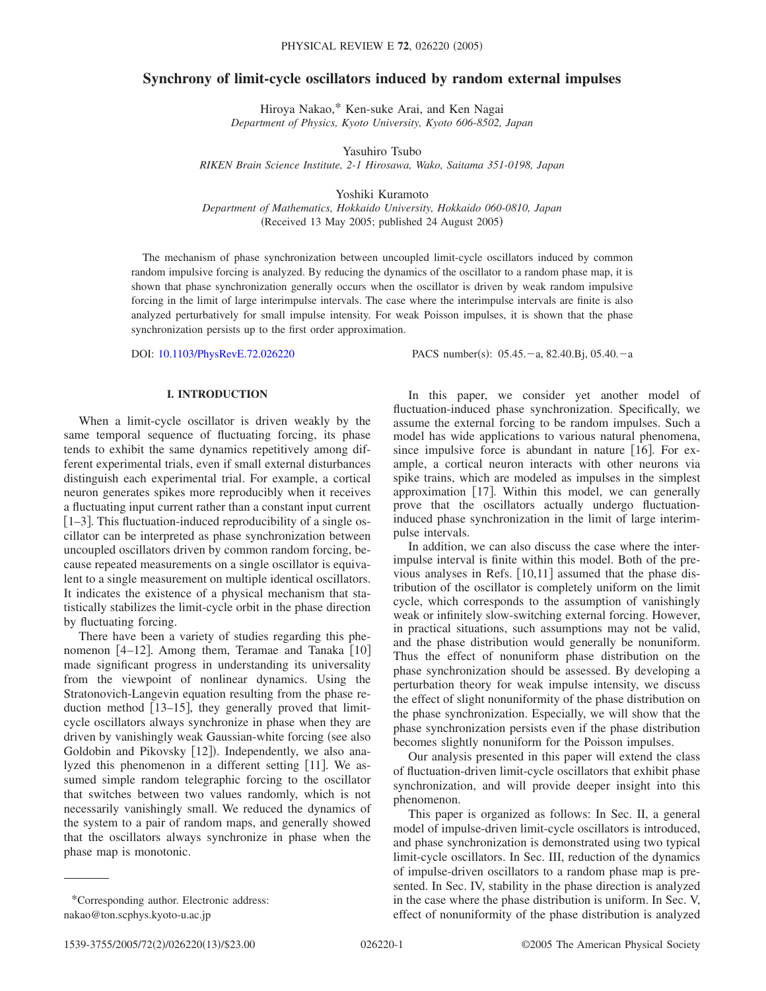# **Synchrony of limit-cycle oscillators induced by random external impulses**

Hiroya Nakao,\* Ken-suke Arai, and Ken Nagai *Department of Physics, Kyoto University, Kyoto 606-8502, Japan*

Yasuhiro Tsubo *RIKEN Brain Science Institute, 2-1 Hirosawa, Wako, Saitama 351-0198, Japan*

Yoshiki Kuramoto

*Department of Mathematics, Hokkaido University, Hokkaido 060-0810, Japan* (Received 13 May 2005; published 24 August 2005)

The mechanism of phase synchronization between uncoupled limit-cycle oscillators induced by common random impulsive forcing is analyzed. By reducing the dynamics of the oscillator to a random phase map, it is shown that phase synchronization generally occurs when the oscillator is driven by weak random impulsive forcing in the limit of large interimpulse intervals. The case where the interimpulse intervals are finite is also analyzed perturbatively for small impulse intensity. For weak Poisson impulses, it is shown that the phase synchronization persists up to the first order approximation.

DOI: [10.1103/PhysRevE.72.026220](http://dx.doi.org/10.1103/PhysRevE.72.026220)

PACS number(s):  $05.45.-a$ , 82.40.Bj, 05.40. $-a$ 

# **I. INTRODUCTION**

When a limit-cycle oscillator is driven weakly by the same temporal sequence of fluctuating forcing, its phase tends to exhibit the same dynamics repetitively among different experimental trials, even if small external disturbances distinguish each experimental trial. For example, a cortical neuron generates spikes more reproducibly when it receives a fluctuating input current rather than a constant input current  $[1–3]$ . This fluctuation-induced reproducibility of a single oscillator can be interpreted as phase synchronization between uncoupled oscillators driven by common random forcing, because repeated measurements on a single oscillator is equivalent to a single measurement on multiple identical oscillators. It indicates the existence of a physical mechanism that statistically stabilizes the limit-cycle orbit in the phase direction by fluctuating forcing.

There have been a variety of studies regarding this phenomenon  $[4-12]$ . Among them, Teramae and Tanaka  $[10]$ made significant progress in understanding its universality from the viewpoint of nonlinear dynamics. Using the Stratonovich-Langevin equation resulting from the phase reduction method  $[13-15]$ , they generally proved that limitcycle oscillators always synchronize in phase when they are driven by vanishingly weak Gaussian-white forcing (see also Goldobin and Pikovsky [12]). Independently, we also analyzed this phenomenon in a different setting [11]. We assumed simple random telegraphic forcing to the oscillator that switches between two values randomly, which is not necessarily vanishingly small. We reduced the dynamics of the system to a pair of random maps, and generally showed that the oscillators always synchronize in phase when the phase map is monotonic.

In this paper, we consider yet another model of fluctuation-induced phase synchronization. Specifically, we assume the external forcing to be random impulses. Such a model has wide applications to various natural phenomena, since impulsive force is abundant in nature  $[16]$ . For example, a cortical neuron interacts with other neurons via spike trains, which are modeled as impulses in the simplest approximation  $[17]$ . Within this model, we can generally prove that the oscillators actually undergo fluctuationinduced phase synchronization in the limit of large interimpulse intervals.

In addition, we can also discuss the case where the interimpulse interval is finite within this model. Both of the previous analyses in Refs.  $[10,11]$  assumed that the phase distribution of the oscillator is completely uniform on the limit cycle, which corresponds to the assumption of vanishingly weak or infinitely slow-switching external forcing. However, in practical situations, such assumptions may not be valid, and the phase distribution would generally be nonuniform. Thus the effect of nonuniform phase distribution on the phase synchronization should be assessed. By developing a perturbation theory for weak impulse intensity, we discuss the effect of slight nonuniformity of the phase distribution on the phase synchronization. Especially, we will show that the phase synchronization persists even if the phase distribution becomes slightly nonuniform for the Poisson impulses.

Our analysis presented in this paper will extend the class of fluctuation-driven limit-cycle oscillators that exhibit phase synchronization, and will provide deeper insight into this phenomenon.

This paper is organized as follows: In Sec. II, a general model of impulse-driven limit-cycle oscillators is introduced, and phase synchronization is demonstrated using two typical limit-cycle oscillators. In Sec. III, reduction of the dynamics of impulse-driven oscillators to a random phase map is presented. In Sec. IV, stability in the phase direction is analyzed in the case where the phase distribution is uniform. In Sec. V, effect of nonuniformity of the phase distribution is analyzed

<sup>\*</sup>Corresponding author. Electronic address: nakao@ton.scphys.kyoto-u.ac.jp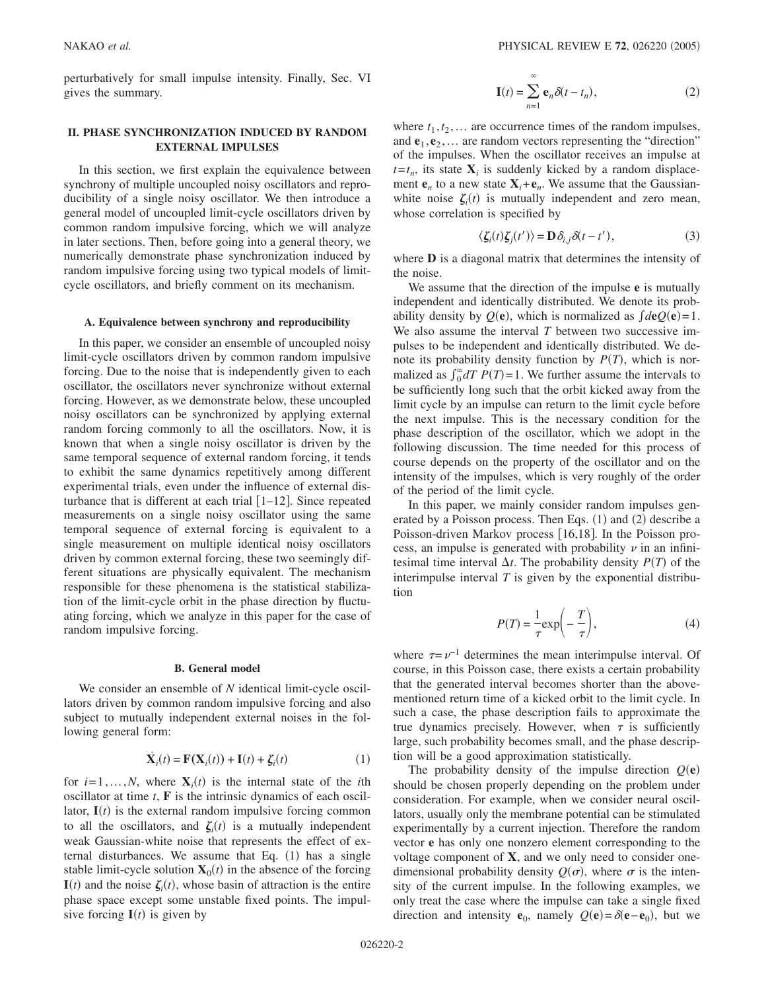perturbatively for small impulse intensity. Finally, Sec. VI gives the summary.

# **II. PHASE SYNCHRONIZATION INDUCED BY RANDOM EXTERNAL IMPULSES**

In this section, we first explain the equivalence between synchrony of multiple uncoupled noisy oscillators and reproducibility of a single noisy oscillator. We then introduce a general model of uncoupled limit-cycle oscillators driven by common random impulsive forcing, which we will analyze in later sections. Then, before going into a general theory, we numerically demonstrate phase synchronization induced by random impulsive forcing using two typical models of limitcycle oscillators, and briefly comment on its mechanism.

### **A. Equivalence between synchrony and reproducibility**

In this paper, we consider an ensemble of uncoupled noisy limit-cycle oscillators driven by common random impulsive forcing. Due to the noise that is independently given to each oscillator, the oscillators never synchronize without external forcing. However, as we demonstrate below, these uncoupled noisy oscillators can be synchronized by applying external random forcing commonly to all the oscillators. Now, it is known that when a single noisy oscillator is driven by the same temporal sequence of external random forcing, it tends to exhibit the same dynamics repetitively among different experimental trials, even under the influence of external disturbance that is different at each trial  $[1-12]$ . Since repeated measurements on a single noisy oscillator using the same temporal sequence of external forcing is equivalent to a single measurement on multiple identical noisy oscillators driven by common external forcing, these two seemingly different situations are physically equivalent. The mechanism responsible for these phenomena is the statistical stabilization of the limit-cycle orbit in the phase direction by fluctuating forcing, which we analyze in this paper for the case of random impulsive forcing.

## **B. General model**

We consider an ensemble of *N* identical limit-cycle oscillators driven by common random impulsive forcing and also subject to mutually independent external noises in the following general form:

$$
\dot{\mathbf{X}}_i(t) = \mathbf{F}(\mathbf{X}_i(t)) + \mathbf{I}(t) + \zeta_i(t)
$$
\n(1)

for  $i=1,...,N$ , where  $X_i(t)$  is the internal state of the *i*th oscillator at time *t*, **F** is the intrinsic dynamics of each oscillator,  $I(t)$  is the external random impulsive forcing common to all the oscillators, and  $\zeta_i(t)$  is a mutually independent weak Gaussian-white noise that represents the effect of external disturbances. We assume that Eq.  $(1)$  has a single stable limit-cycle solution  $X_0(t)$  in the absence of the forcing  $I(t)$  and the noise  $\zeta_i(t)$ , whose basin of attraction is the entire phase space except some unstable fixed points. The impulsive forcing  $I(t)$  is given by

$$
\mathbf{I}(t) = \sum_{n=1}^{\infty} \mathbf{e}_n \delta(t - t_n),
$$
 (2)

where  $t_1, t_2, \ldots$  are occurrence times of the random impulses, and  $e_1, e_2, \ldots$  are random vectors representing the "direction" of the impulses. When the oscillator receives an impulse at  $t = t_n$ , its state  $\mathbf{X}_i$  is suddenly kicked by a random displacement  $e_n$  to a new state  $X_i + e_n$ . We assume that the Gaussianwhite noise  $\zeta_i(t)$  is mutually independent and zero mean, whose correlation is specified by

$$
\langle \zeta_i(t)\zeta_j(t')\rangle = \mathbf{D}\,\delta_{i,j}\delta(t-t'),\tag{3}
$$

where **D** is a diagonal matrix that determines the intensity of the noise.

We assume that the direction of the impulse **e** is mutually independent and identically distributed. We denote its probability density by  $Q(\mathbf{e})$ , which is normalized as  $\int d\mathbf{e} Q(\mathbf{e}) = 1$ . We also assume the interval *T* between two successive impulses to be independent and identically distributed. We denote its probability density function by  $P(T)$ , which is normalized as  $\int_0^{\infty} dT P(T) = 1$ . We further assume the intervals to be sufficiently long such that the orbit kicked away from the limit cycle by an impulse can return to the limit cycle before the next impulse. This is the necessary condition for the phase description of the oscillator, which we adopt in the following discussion. The time needed for this process of course depends on the property of the oscillator and on the intensity of the impulses, which is very roughly of the order of the period of the limit cycle.

In this paper, we mainly consider random impulses generated by a Poisson process. Then Eqs. (1) and (2) describe a Poisson-driven Markov process [16,18]. In the Poisson process, an impulse is generated with probability  $\nu$  in an infinitesimal time interval  $\Delta t$ . The probability density  $P(T)$  of the interimpulse interval *T* is given by the exponential distribution

$$
P(T) = \frac{1}{\tau} \exp\left(-\frac{T}{\tau}\right),\tag{4}
$$

where  $\tau = \nu^{-1}$  determines the mean interimpulse interval. Of course, in this Poisson case, there exists a certain probability that the generated interval becomes shorter than the abovementioned return time of a kicked orbit to the limit cycle. In such a case, the phase description fails to approximate the true dynamics precisely. However, when  $\tau$  is sufficiently large, such probability becomes small, and the phase description will be a good approximation statistically.

The probability density of the impulse direction  $Q(e)$ should be chosen properly depending on the problem under consideration. For example, when we consider neural oscillators, usually only the membrane potential can be stimulated experimentally by a current injection. Therefore the random vector **e** has only one nonzero element corresponding to the voltage component of **X**, and we only need to consider onedimensional probability density  $Q(\sigma)$ , where  $\sigma$  is the intensity of the current impulse. In the following examples, we only treat the case where the impulse can take a single fixed direction and intensity **e**<sub>0</sub>, namely  $Q(\mathbf{e}) = \delta(\mathbf{e} - \mathbf{e}_0)$ , but we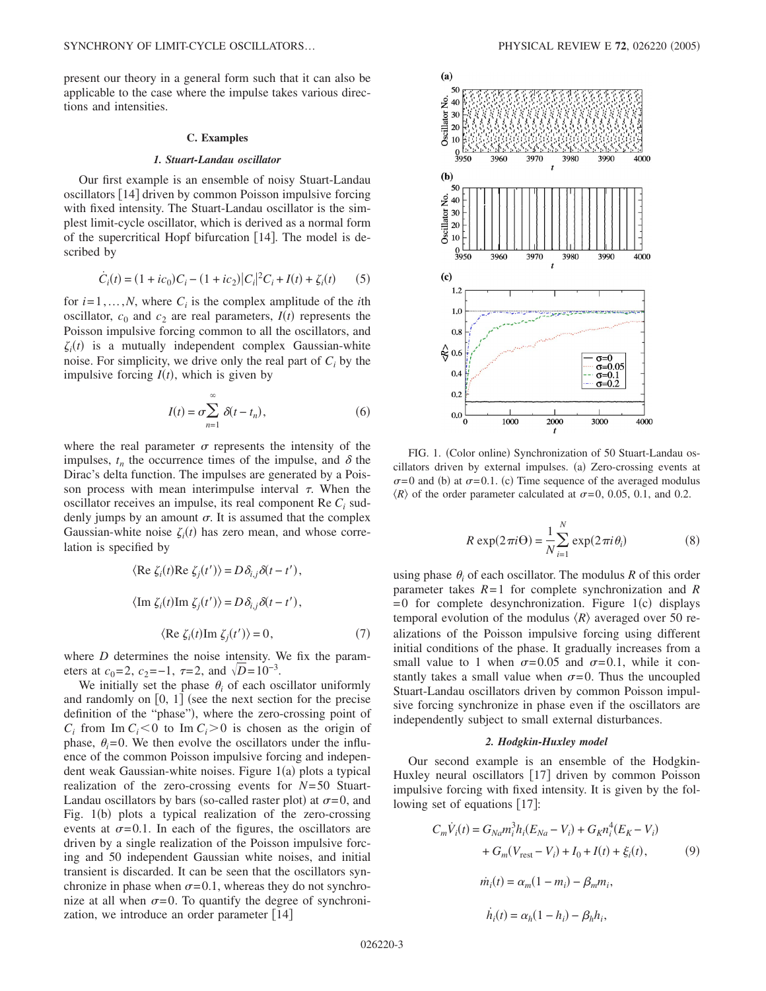present our theory in a general form such that it can also be applicable to the case where the impulse takes various directions and intensities.

## **C. Examples**

## *1. Stuart-Landau oscillator*

Our first example is an ensemble of noisy Stuart-Landau oscillators [14] driven by common Poisson impulsive forcing with fixed intensity. The Stuart-Landau oscillator is the simplest limit-cycle oscillator, which is derived as a normal form of the supercritical Hopf bifurcation [14]. The model is described by

$$
\dot{C}_i(t) = (1 + ic_0)C_i - (1 + ic_2)|C_i|^2 C_i + I(t) + \zeta_i(t)
$$
 (5)

for  $i=1,...,N$ , where  $C_i$  is the complex amplitude of the *i*th oscillator,  $c_0$  and  $c_2$  are real parameters,  $I(t)$  represents the Poisson impulsive forcing common to all the oscillators, and  $\zeta_i(t)$  is a mutually independent complex Gaussian-white noise. For simplicity, we drive only the real part of  $C_i$  by the impulsive forcing  $I(t)$ , which is given by

$$
I(t) = \sigma \sum_{n=1}^{\infty} \delta(t - t_n),
$$
 (6)

where the real parameter  $\sigma$  represents the intensity of the impulses,  $t_n$  the occurrence times of the impulse, and  $\delta$  the Dirac's delta function. The impulses are generated by a Poisson process with mean interimpulse interval  $\tau$ . When the oscillator receives an impulse, its real component Re *Ci* suddenly jumps by an amount  $\sigma$ . It is assumed that the complex Gaussian-white noise  $\zeta_i(t)$  has zero mean, and whose correlation is specified by

$$
\langle \text{Re } \zeta_i(t) \text{Re } \zeta_j(t') \rangle = D \delta_{i,j} \delta(t - t'),
$$
  

$$
\langle \text{Im } \zeta_i(t) \text{Im } \zeta_j(t') \rangle = D \delta_{i,j} \delta(t - t'),
$$
  

$$
\langle \text{Re } \zeta_i(t) \text{Im } \zeta_j(t') \rangle = 0,
$$
 (7)

where *D* determines the noise intensity. We fix the parameters at  $c_0 = 2$ ,  $c_2 = -1$ ,  $\tau = 2$ , and  $\sqrt{D} = 10^{-3}$ .

We initially set the phase  $\theta_i$  of each oscillator uniformly and randomly on  $\lceil 0, 1 \rceil$  (see the next section for the precise definition of the "phase"), where the zero-crossing point of  $C_i$  from Im  $C_i$  < 0 to Im  $C_i$  > 0 is chosen as the origin of phase,  $\theta_i = 0$ . We then evolve the oscillators under the influence of the common Poisson impulsive forcing and independent weak Gaussian-white noises. Figure 1(a) plots a typical realization of the zero-crossing events for *N*= 50 Stuart-Landau oscillators by bars (so-called raster plot) at  $\sigma = 0$ , and Fig. 1(b) plots a typical realization of the zero-crossing events at  $\sigma = 0.1$ . In each of the figures, the oscillators are driven by a single realization of the Poisson impulsive forcing and 50 independent Gaussian white noises, and initial transient is discarded. It can be seen that the oscillators synchronize in phase when  $\sigma = 0.1$ , whereas they do not synchronize at all when  $\sigma = 0$ . To quantify the degree of synchronization, we introduce an order parameter [14]



FIG. 1. (Color online) Synchronization of 50 Stuart-Landau oscillators driven by external impulses. (a) Zero-crossing events at  $\sigma$ =0 and (b) at  $\sigma$ =0.1. (c) Time sequence of the averaged modulus  $\langle R \rangle$  of the order parameter calculated at  $\sigma = 0$ , 0.05, 0.1, and 0.2.

$$
R \exp(2\pi i \Theta) = \frac{1}{N} \sum_{i=1}^{N} \exp(2\pi i \theta_i)
$$
 (8)

using phase  $\theta_i$  of each oscillator. The modulus  $R$  of this order parameter takes *R*= 1 for complete synchronization and *R*  $= 0$  for complete desynchronization. Figure 1(c) displays temporal evolution of the modulus  $\langle R \rangle$  averaged over 50 realizations of the Poisson impulsive forcing using different initial conditions of the phase. It gradually increases from a small value to 1 when  $\sigma = 0.05$  and  $\sigma = 0.1$ , while it constantly takes a small value when  $\sigma = 0$ . Thus the uncoupled Stuart-Landau oscillators driven by common Poisson impulsive forcing synchronize in phase even if the oscillators are independently subject to small external disturbances.

## *2. Hodgkin-Huxley model*

Our second example is an ensemble of the Hodgkin-Huxley neural oscillators  $\lceil 17 \rceil$  driven by common Poisson impulsive forcing with fixed intensity. It is given by the following set of equations  $[17]$ :

$$
C_m \dot{V}_i(t) = G_{Na} m_i^3 h_i (E_{Na} - V_i) + G_K n_i^4 (E_K - V_i)
$$
  
+  $G_m (V_{rest} - V_i) + I_0 + I(t) + \xi_i(t)$ , (9)  

$$
\dot{m}_i(t) = \alpha_m (1 - m_i) - \beta_m m_i,
$$
  

$$
\dot{h}_i(t) = \alpha_h (1 - h_i) - \beta_h h_i,
$$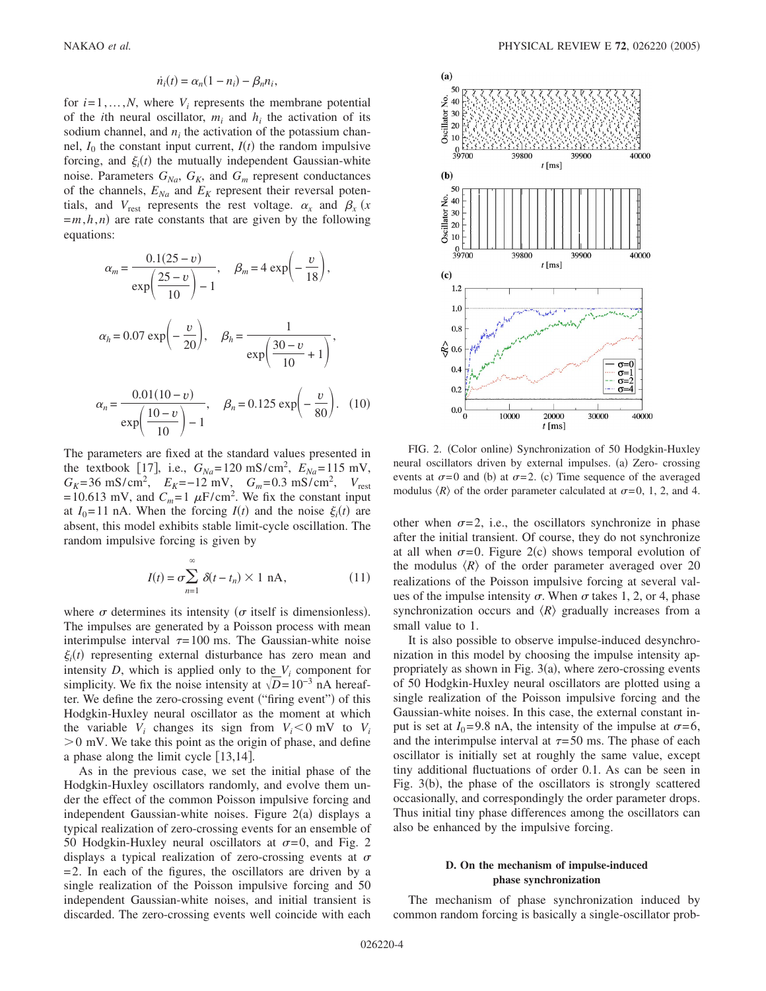$$
\dot{n}_i(t) = \alpha_n(1 - n_i) - \beta_n n_i,
$$

for  $i=1,...,N$ , where  $V_i$  represents the membrane potential of the *i*th neural oscillator,  $m_i$  and  $h_i$  the activation of its sodium channel, and  $n_i$  the activation of the potassium channel,  $I_0$  the constant input current,  $I(t)$  the random impulsive forcing, and  $\xi_i(t)$  the mutually independent Gaussian-white noise. Parameters  $G_{Na}$ ,  $G_K$ , and  $G_m$  represent conductances of the channels,  $E_{Na}$  and  $E_K$  represent their reversal potentials, and  $V_{\text{rest}}$  represents the rest voltage.  $\alpha_x$  and  $\beta_x$  (x  $=m, h, n$  are rate constants that are given by the following equations:

$$
\alpha_m = \frac{0.1(25 - v)}{\exp\left(\frac{25 - v}{10}\right) - 1}, \quad \beta_m = 4 \exp\left(-\frac{v}{18}\right),
$$
  

$$
\alpha_h = 0.07 \exp\left(-\frac{v}{20}\right), \quad \beta_h = \frac{1}{\exp\left(\frac{30 - v}{10} + 1\right)},
$$
  

$$
\alpha_n = \frac{0.01(10 - v)}{\exp\left(\frac{10 - v}{10}\right) - 1}, \quad \beta_n = 0.125 \exp\left(-\frac{v}{80}\right). \quad (10)
$$

The parameters are fixed at the standard values presented in the textbook [17], i.e.,  $G_{Na} = 120 \text{ mS/cm}^2$ ,  $E_{Na} = 115 \text{ mV}$ ,  $G_K$ =36 mS/cm<sup>2</sup>,  $E_K$ =-12 mV,  $G_m$ =0.3 mS/cm<sup>2</sup>,  $V_{\text{rest}}$  $= 10.613$  mV, and  $C_m = 1 \mu F/cm^2$ . We fix the constant input at  $I_0 = 11$  nA. When the forcing  $I(t)$  and the noise  $\xi_i(t)$  are absent, this model exhibits stable limit-cycle oscillation. The random impulsive forcing is given by

$$
I(t) = \sigma \sum_{n=1}^{\infty} \delta(t - t_n) \times 1 \text{ nA},
$$
 (11)

where  $\sigma$  determines its intensity ( $\sigma$  itself is dimensionless). The impulses are generated by a Poisson process with mean interimpulse interval  $\tau = 100$  ms. The Gaussian-white noise  $\xi_i(t)$  representing external disturbance has zero mean and intensity  $D$ , which is applied only to the  $V_i$  component for simplicity. We fix the noise intensity at  $\sqrt{D}$  = 10<sup>-3</sup> nA hereafter. We define the zero-crossing event ("firing event") of this Hodgkin-Huxley neural oscillator as the moment at which the variable  $V_i$  changes its sign from  $V_i < 0$  mV to  $V_i$  $>0$  mV. We take this point as the origin of phase, and define a phase along the limit cycle  $[13,14]$ .

As in the previous case, we set the initial phase of the Hodgkin-Huxley oscillators randomly, and evolve them under the effect of the common Poisson impulsive forcing and independent Gaussian-white noises. Figure 2(a) displays a typical realization of zero-crossing events for an ensemble of 50 Hodgkin-Huxley neural oscillators at  $\sigma = 0$ , and Fig. 2 displays a typical realization of zero-crossing events at  $\sigma$  $= 2$ . In each of the figures, the oscillators are driven by a single realization of the Poisson impulsive forcing and 50 independent Gaussian-white noises, and initial transient is discarded. The zero-crossing events well coincide with each



FIG. 2. (Color online) Synchronization of 50 Hodgkin-Huxley neural oscillators driven by external impulses. (a) Zero- crossing events at  $\sigma = 0$  and (b) at  $\sigma = 2$ . (c) Time sequence of the averaged modulus  $\langle R \rangle$  of the order parameter calculated at  $\sigma = 0, 1, 2,$  and 4.

other when  $\sigma = 2$ , i.e., the oscillators synchronize in phase after the initial transient. Of course, they do not synchronize at all when  $\sigma = 0$ . Figure 2(c) shows temporal evolution of the modulus  $\langle R \rangle$  of the order parameter averaged over 20 realizations of the Poisson impulsive forcing at several values of the impulse intensity  $\sigma$ . When  $\sigma$  takes 1, 2, or 4, phase synchronization occurs and  $\langle R \rangle$  gradually increases from a small value to 1.

It is also possible to observe impulse-induced desynchronization in this model by choosing the impulse intensity appropriately as shown in Fig.  $3(a)$ , where zero-crossing events of 50 Hodgkin-Huxley neural oscillators are plotted using a single realization of the Poisson impulsive forcing and the Gaussian-white noises. In this case, the external constant input is set at  $I_0$ =9.8 nA, the intensity of the impulse at  $\sigma$ =6, and the interimpulse interval at  $\tau = 50$  ms. The phase of each oscillator is initially set at roughly the same value, except tiny additional fluctuations of order 0.1. As can be seen in Fig. 3(b), the phase of the oscillators is strongly scattered occasionally, and correspondingly the order parameter drops. Thus initial tiny phase differences among the oscillators can also be enhanced by the impulsive forcing.

# **D. On the mechanism of impulse-induced phase synchronization**

The mechanism of phase synchronization induced by common random forcing is basically a single-oscillator prob-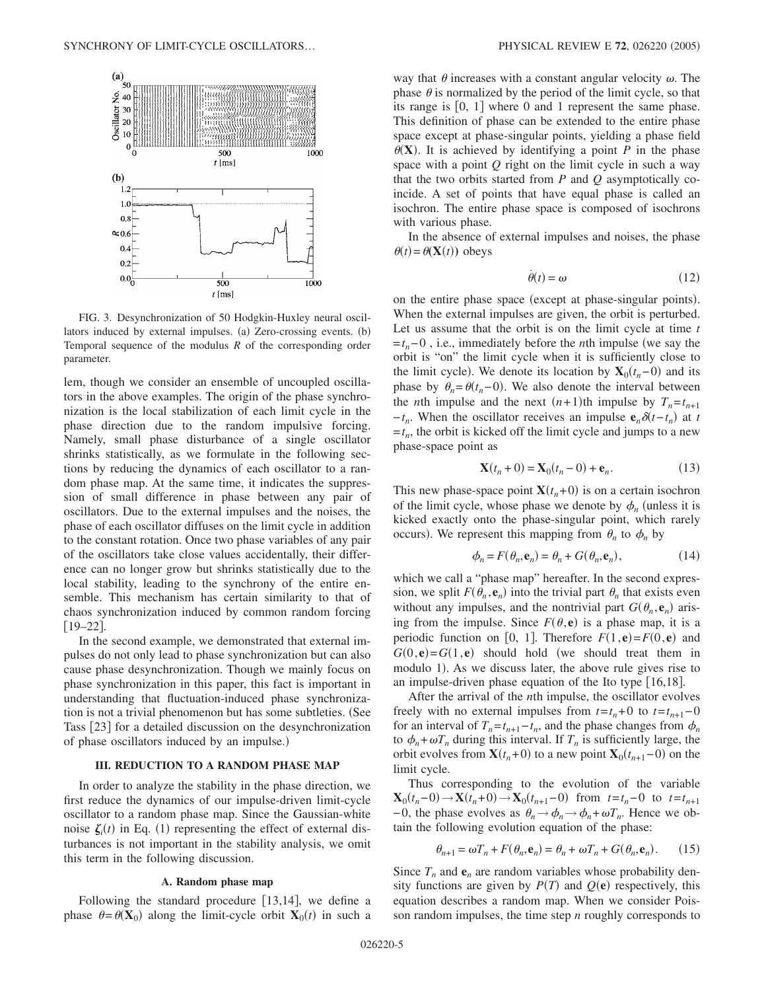

FIG. 3. Desynchronization of 50 Hodgkin-Huxley neural oscillators induced by external impulses. (a) Zero-crossing events. (b) Temporal sequence of the modulus *R* of the corresponding order parameter.

lem, though we consider an ensemble of uncoupled oscillators in the above examples. The origin of the phase synchronization is the local stabilization of each limit cycle in the phase direction due to the random impulsive forcing. Namely, small phase disturbance of a single oscillator shrinks statistically, as we formulate in the following sections by reducing the dynamics of each oscillator to a random phase map. At the same time, it indicates the suppression of small difference in phase between any pair of oscillators. Due to the external impulses and the noises, the phase of each oscillator diffuses on the limit cycle in addition to the constant rotation. Once two phase variables of any pair of the oscillators take close values accidentally, their difference can no longer grow but shrinks statistically due to the local stability, leading to the synchrony of the entire ensemble. This mechanism has certain similarity to that of chaos synchronization induced by common random forcing  $[19-22]$ .

In the second example, we demonstrated that external impulses do not only lead to phase synchronization but can also cause phase desynchronization. Though we mainly focus on phase synchronization in this paper, this fact is important in understanding that fluctuation-induced phase synchronization is not a trivial phenomenon but has some subtleties. (See Tass [23] for a detailed discussion on the desynchronization of phase oscillators induced by an impulse.)

# **III. REDUCTION TO A RANDOM PHASE MAP**

In order to analyze the stability in the phase direction, we first reduce the dynamics of our impulse-driven limit-cycle oscillator to a random phase map. Since the Gaussian-white noise  $\zeta_i(t)$  in Eq. (1) representing the effect of external disturbances is not important in the stability analysis, we omit this term in the following discussion.

## **A. Random phase map**

Following the standard procedure  $[13,14]$ , we define a phase  $\theta = \theta(\mathbf{X}_0)$  along the limit-cycle orbit  $\mathbf{X}_0(t)$  in such a

way that  $\theta$  increases with a constant angular velocity  $\omega$ . The phase  $\theta$  is normalized by the period of the limit cycle, so that its range is  $[0, 1]$  where 0 and 1 represent the same phase. This definition of phase can be extended to the entire phase space except at phase-singular points, yielding a phase field  $\theta$ (**X**). It is achieved by identifying a point *P* in the phase space with a point *Q* right on the limit cycle in such a way that the two orbits started from *P* and *Q* asymptotically coincide. A set of points that have equal phase is called an isochron. The entire phase space is composed of isochrons with various phase.

In the absence of external impulses and noises, the phase  $\theta(t) = \theta(\mathbf{X}(t))$  obeys

$$
\dot{\theta}(t) = \omega \tag{12}
$$

on the entire phase space (except at phase-singular points). When the external impulses are given, the orbit is perturbed. Let us assume that the orbit is on the limit cycle at time *t* =*tn*− 0 , i.e., immediately before the *n*th impulse we say the orbit is "on" the limit cycle when it is sufficiently close to the limit cycle). We denote its location by  $\mathbf{X}_0(t_n-0)$  and its phase by  $\theta_n = \theta(t_n - 0)$ . We also denote the interval between the *n*th impulse and the next  $(n+1)$ th impulse by  $T_n = t_{n+1}$  $-t_n$ . When the oscillator receives an impulse  $e_n \delta(t-t_n)$  at *t*  $=t_n$ , the orbit is kicked off the limit cycle and jumps to a new phase-space point as

$$
\mathbf{X}(t_n + 0) = \mathbf{X}_0(t_n - 0) + \mathbf{e}_n.
$$
 (13)

This new phase-space point  $\mathbf{X}(t_n+0)$  is on a certain isochron of the limit cycle, whose phase we denote by  $\phi_n$  (unless it is kicked exactly onto the phase-singular point, which rarely occurs). We represent this mapping from  $\theta_n$  to  $\phi_n$  by

$$
\phi_n = F(\theta_n, \mathbf{e}_n) = \theta_n + G(\theta_n, \mathbf{e}_n),\tag{14}
$$

which we call a "phase map" hereafter. In the second expression, we split  $F(\theta_n, \mathbf{e}_n)$  into the trivial part  $\theta_n$  that exists even without any impulses, and the nontrivial part  $G(\theta_n, \mathbf{e}_n)$  arising from the impulse. Since  $F(\theta, \mathbf{e})$  is a phase map, it is a periodic function on [0, 1]. Therefore  $F(1, \mathbf{e}) = F(0, \mathbf{e})$  and  $G(0, e) = G(1, e)$  should hold (we should treat them in modulo 1). As we discuss later, the above rule gives rise to an impulse-driven phase equation of the Ito type  $[16,18]$ .

After the arrival of the *n*th impulse, the oscillator evolves freely with no external impulses from  $t = t_n + 0$  to  $t = t_{n+1} - 0$ for an interval of  $T_n = t_{n+1} - t_n$ , and the phase changes from  $\phi_n$ to  $\phi_n + \omega T_n$  during this interval. If  $T_n$  is sufficiently large, the orbit evolves from  $\mathbf{X}(t_n+0)$  to a new point  $\mathbf{X}_0(t_{n+1}-0)$  on the limit cycle.

Thus corresponding to the evolution of the variable  $\mathbf{X}_0(t_n-0) \rightarrow \mathbf{X}(t_n+0) \rightarrow \mathbf{X}_0(t_{n+1}-0)$  from  $t=t_n-0$  to  $t=t_{n+1}$ −0, the phase evolves as  $\theta_n \rightarrow \phi_n \rightarrow \phi_n + \omega T_n$ . Hence we obtain the following evolution equation of the phase:

$$
\theta_{n+1} = \omega T_n + F(\theta_n, \mathbf{e}_n) = \theta_n + \omega T_n + G(\theta_n, \mathbf{e}_n). \tag{15}
$$

Since  $T_n$  and  $e_n$  are random variables whose probability density functions are given by  $P(T)$  and  $Q(e)$  respectively, this equation describes a random map. When we consider Poisson random impulses, the time step *n* roughly corresponds to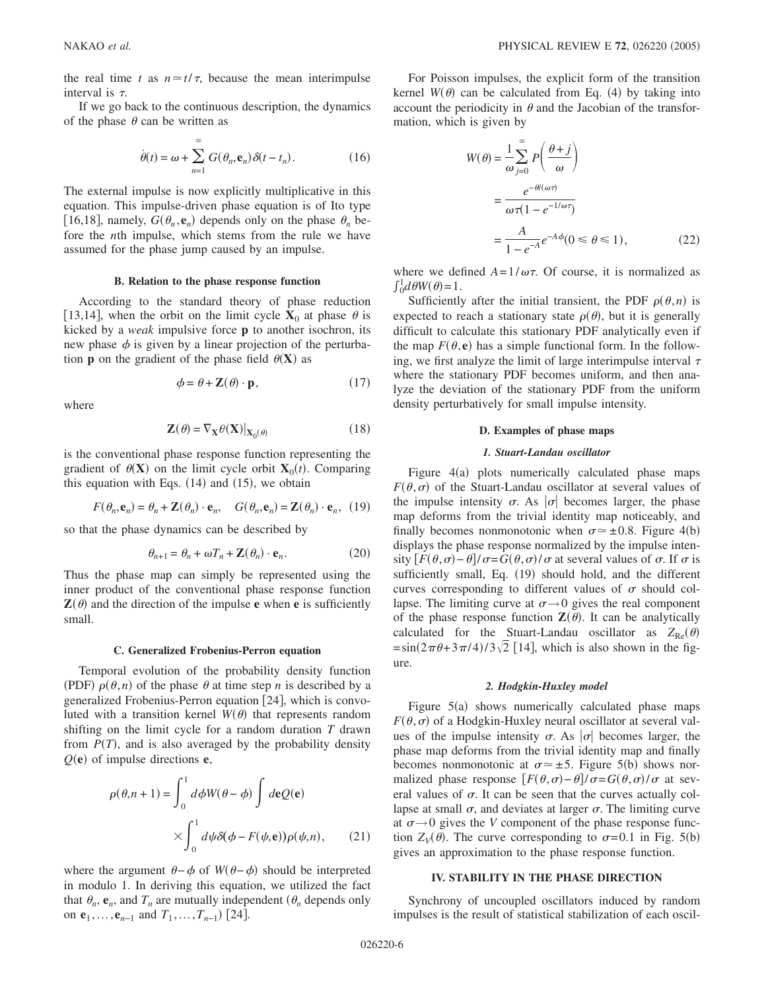the real time *t* as  $n \approx t/\tau$ , because the mean interimpulse interval is  $\tau$ .

If we go back to the continuous description, the dynamics of the phase  $\theta$  can be written as

$$
\dot{\theta}(t) = \omega + \sum_{n=1}^{\infty} G(\theta_n, \mathbf{e}_n) \delta(t - t_n).
$$
 (16)

The external impulse is now explicitly multiplicative in this equation. This impulse-driven phase equation is of Ito type [16,18], namely,  $G(\theta_n, \mathbf{e}_n)$  depends only on the phase  $\theta_n$  before the *n*th impulse, which stems from the rule we have assumed for the phase jump caused by an impulse.

# **B. Relation to the phase response function**

According to the standard theory of phase reduction [13,14], when the orbit on the limit cycle  $X_0$  at phase  $\theta$  is kicked by a *weak* impulsive force **p** to another isochron, its new phase  $\phi$  is given by a linear projection of the perturbation **p** on the gradient of the phase field  $\theta(\mathbf{X})$  as

$$
\phi = \theta + \mathbf{Z}(\theta) \cdot \mathbf{p},\tag{17}
$$

where

$$
\mathbf{Z}(\theta) = \nabla_{\mathbf{X}} \theta(\mathbf{X}) \big|_{\mathbf{X}_0(\theta)} \tag{18}
$$

is the conventional phase response function representing the gradient of  $\theta$ (**X**) on the limit cycle orbit **X**<sub>0</sub>(*t*). Comparing this equation with Eqs.  $(14)$  and  $(15)$ , we obtain

$$
F(\theta_n, \mathbf{e}_n) = \theta_n + \mathbf{Z}(\theta_n) \cdot \mathbf{e}_n, \quad G(\theta_n, \mathbf{e}_n) = \mathbf{Z}(\theta_n) \cdot \mathbf{e}_n, \tag{19}
$$

so that the phase dynamics can be described by

$$
\theta_{n+1} = \theta_n + \omega T_n + \mathbf{Z}(\theta_n) \cdot \mathbf{e}_n.
$$
 (20)

Thus the phase map can simply be represented using the inner product of the conventional phase response function  $\mathbf{Z}(\theta)$  and the direction of the impulse **e** when **e** is sufficiently small.

## **C. Generalized Frobenius-Perron equation**

Temporal evolution of the probability density function (PDF)  $\rho(\theta, n)$  of the phase  $\theta$  at time step *n* is described by a generalized Frobenius-Perron equation 24, which is convoluted with a transition kernel  $W(\theta)$  that represents random shifting on the limit cycle for a random duration *T* drawn from  $P(T)$ , and is also averaged by the probability density  $Q(e)$  of impulse directions  $e$ ,

$$
\rho(\theta, n+1) = \int_0^1 d\phi W(\theta - \phi) \int d\mathbf{e} Q(\mathbf{e})
$$

$$
\times \int_0^1 d\psi \delta(\phi - F(\psi, \mathbf{e})) \rho(\psi, n), \qquad (21)
$$

where the argument  $\theta - \phi$  of  $W(\theta - \phi)$  should be interpreted in modulo 1. In deriving this equation, we utilized the fact that  $\theta_n$ ,  $\mathbf{e}_n$ , and  $T_n$  are mutually independent  $(\theta_n$  depends only on **e**<sub>1</sub>, ..., **e**<sub>*n*−1</sub> and *T*<sub>1</sub>, ..., *T*<sub>*n*−1</sub>) [24].

For Poisson impulses, the explicit form of the transition kernel  $W(\theta)$  can be calculated from Eq. (4) by taking into account the periodicity in  $\theta$  and the Jacobian of the transformation, which is given by

$$
W(\theta) = \frac{1}{\omega} \sum_{j=0}^{\infty} P\left(\frac{\theta + j}{\omega}\right)
$$

$$
= \frac{e^{-\theta/(\omega\tau)}}{\omega \tau (1 - e^{-1/\omega\tau})}
$$

$$
= \frac{A}{1 - e^{-A}} e^{-A\phi} (0 \le \theta \le 1), \qquad (22)
$$

where we defined  $A=1/\omega\tau$ . Of course, it is normalized as  $\int_0^1 d\theta W(\theta) = 1.$ 

Sufficiently after the initial transient, the PDF  $\rho(\theta, n)$  is expected to reach a stationary state  $\rho(\theta)$ , but it is generally difficult to calculate this stationary PDF analytically even if the map  $F(\theta, \mathbf{e})$  has a simple functional form. In the following, we first analyze the limit of large interimpulse interval  $\tau$ where the stationary PDF becomes uniform, and then analyze the deviation of the stationary PDF from the uniform density perturbatively for small impulse intensity.

## **D. Examples of phase maps**

# *1. Stuart-Landau oscillator*

Figure 4(a) plots numerically calculated phase maps  $F(\theta, \sigma)$  of the Stuart-Landau oscillator at several values of the impulse intensity  $\sigma$ . As  $|\sigma|$  becomes larger, the phase map deforms from the trivial identity map noticeably, and finally becomes nonmonotonic when  $\sigma \approx \pm 0.8$ . Figure 4(b) displays the phase response normalized by the impulse intensity  $[F(\theta, \sigma) - \theta]/\sigma = G(\theta, \sigma)/\sigma$  at several values of  $\sigma$ . If  $\sigma$  is sufficiently small, Eq. (19) should hold, and the different curves corresponding to different values of  $\sigma$  should collapse. The limiting curve at  $\sigma \rightarrow 0$  gives the real component of the phase response function  $\mathbf{Z}(\theta)$ . It can be analytically calculated for the Stuart-Landau oscillator as  $Z_{\text{Re}}(\theta)$  $=\sin(2\pi\theta+3\pi/4)/3\sqrt{2}$  [14], which is also shown in the figure.

### *2. Hodgkin-Huxley model*

Figure  $5(a)$  shows numerically calculated phase maps  $F(\theta, \sigma)$  of a Hodgkin-Huxley neural oscillator at several values of the impulse intensity  $\sigma$ . As  $|\sigma|$  becomes larger, the phase map deforms from the trivial identity map and finally becomes nonmonotonic at  $\sigma \approx \pm 5$ . Figure 5(b) shows normalized phase response  $[F(\theta, \sigma) - \theta]/\sigma = G(\theta, \sigma)/\sigma$  at several values of  $\sigma$ . It can be seen that the curves actually collapse at small  $\sigma$ , and deviates at larger  $\sigma$ . The limiting curve at  $\sigma \rightarrow 0$  gives the *V* component of the phase response function  $Z_V(\theta)$ . The curve corresponding to  $\sigma = 0.1$  in Fig. 5(b) gives an approximation to the phase response function.

#### **IV. STABILITY IN THE PHASE DIRECTION**

Synchrony of uncoupled oscillators induced by random impulses is the result of statistical stabilization of each oscil-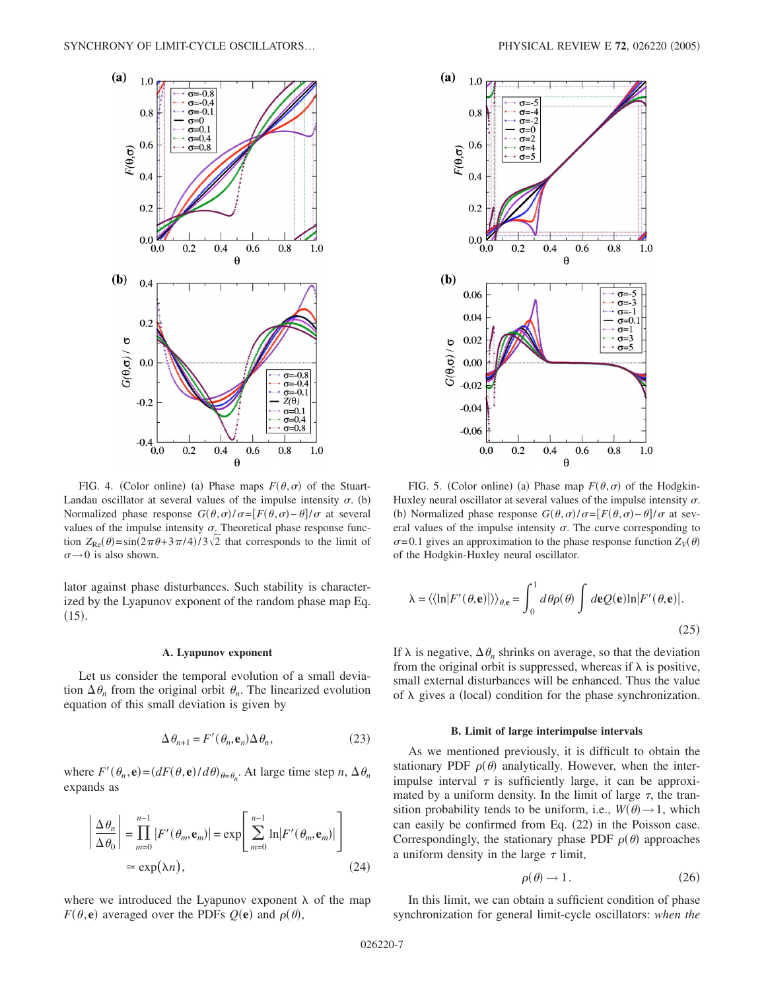

FIG. 4. (Color online) (a) Phase maps  $F(\theta, \sigma)$  of the Stuart-Landau oscillator at several values of the impulse intensity  $\sigma$ . (b) Normalized phase response  $G(\theta, \sigma) / \sigma = [F(\theta, \sigma) - \theta] / \sigma$  at several values of the impulse intensity  $\sigma$ . Theoretical phase response function  $Z_{\text{Re}}(\theta) = \sin(2\pi\theta + 3\pi/4)/3\sqrt{2}$  that corresponds to the limit of  $\sigma \rightarrow 0$  is also shown.

lator against phase disturbances. Such stability is characterized by the Lyapunov exponent of the random phase map Eq.  $(15).$ 

## **A. Lyapunov exponent**

Let us consider the temporal evolution of a small deviation  $\Delta \theta_n$  from the original orbit  $\theta_n$ . The linearized evolution equation of this small deviation is given by

$$
\Delta \theta_{n+1} = F'(\theta_n, \mathbf{e}_n) \Delta \theta_n, \tag{23}
$$

where  $F'(\theta_n, \mathbf{e}) = \left( dF(\theta, \mathbf{e})/d\theta \right)_{\theta = \theta_n}$ . At large time step *n*,  $\Delta \theta_n$ expands as

$$
\left| \frac{\Delta \theta_n}{\Delta \theta_0} \right| = \prod_{m=0}^{n-1} |F'(\theta_m, \mathbf{e}_m)| = \exp \left[ \sum_{m=0}^{n-1} \ln |F'(\theta_m, \mathbf{e}_m)| \right]
$$
  
\n
$$
\approx \exp(\lambda n), \qquad (24)
$$

where we introduced the Lyapunov exponent  $\lambda$  of the map  $F(\theta, \mathbf{e})$  averaged over the PDFs  $Q(\mathbf{e})$  and  $\rho(\theta)$ ,



FIG. 5. (Color online) (a) Phase map  $F(\theta, \sigma)$  of the Hodgkin-Huxley neural oscillator at several values of the impulse intensity  $\sigma$ . (b) Normalized phase response  $G(\theta, \sigma) / \sigma = [F(\theta, \sigma) - \theta] / \sigma$  at several values of the impulse intensity  $\sigma$ . The curve corresponding to  $\sigma$ =0.1 gives an approximation to the phase response function  $Z_V(\theta)$ of the Hodgkin-Huxley neural oscillator.

$$
\lambda = \langle \langle \ln | F'(\theta, \mathbf{e}) | \rangle \rangle_{\theta, \mathbf{e}} = \int_0^1 d\theta \rho(\theta) \int d\mathbf{e} Q(\mathbf{e}) \ln | F'(\theta, \mathbf{e}) |.
$$
\n(25)

If  $\lambda$  is negative,  $\Delta \theta_n$  shrinks on average, so that the deviation from the original orbit is suppressed, whereas if  $\lambda$  is positive, small external disturbances will be enhanced. Thus the value of  $\lambda$  gives a (local) condition for the phase synchronization.

## **B. Limit of large interimpulse intervals**

As we mentioned previously, it is difficult to obtain the stationary PDF  $\rho(\theta)$  analytically. However, when the interimpulse interval  $\tau$  is sufficiently large, it can be approximated by a uniform density. In the limit of large  $\tau$ , the transition probability tends to be uniform, i.e.,  $W(\theta) \rightarrow 1$ , which can easily be confirmed from Eq. (22) in the Poisson case. Correspondingly, the stationary phase PDF  $\rho(\theta)$  approaches a uniform density in the large  $\tau$  limit,

$$
\rho(\theta) \to 1. \tag{26}
$$

In this limit, we can obtain a sufficient condition of phase synchronization for general limit-cycle oscillators: *when the*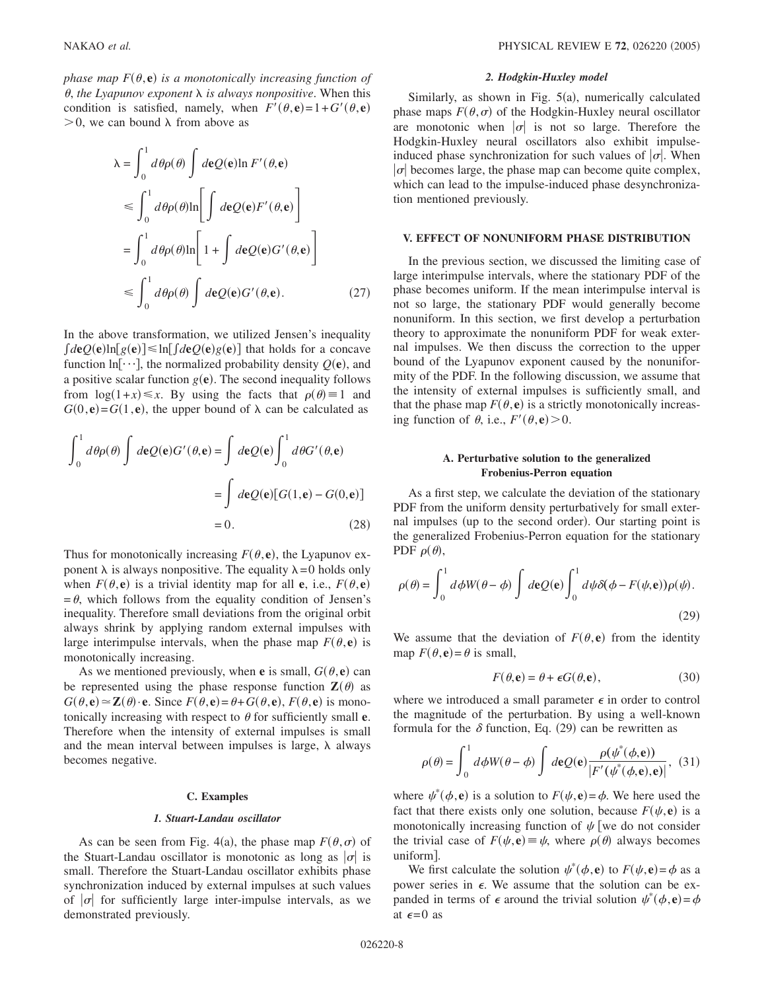*phase map*  $F(\theta, \mathbf{e})$  *is a monotonically increasing function of*  $\theta$ , the Lyapunov exponent  $\lambda$  is always nonpositive. When this condition is satisfied, namely, when  $F'(\theta, \mathbf{e}) = 1 + G'(\theta, \mathbf{e})$  $>0$ , we can bound  $\lambda$  from above as

$$
\lambda = \int_0^1 d\theta \rho(\theta) \int d\mathbf{e} Q(\mathbf{e}) \ln F'(\theta, \mathbf{e})
$$
  
\n
$$
\leq \int_0^1 d\theta \rho(\theta) \ln \left[ \int d\mathbf{e} Q(\mathbf{e}) F'(\theta, \mathbf{e}) \right]
$$
  
\n
$$
= \int_0^1 d\theta \rho(\theta) \ln \left[ 1 + \int d\mathbf{e} Q(\mathbf{e}) G'(\theta, \mathbf{e}) \right]
$$
  
\n
$$
\leq \int_0^1 d\theta \rho(\theta) \int d\mathbf{e} Q(\mathbf{e}) G'(\theta, \mathbf{e}).
$$
 (27)

In the above transformation, we utilized Jensen's inequality  $\int d\mathbf{e} Q(\mathbf{e}) \ln[g(\mathbf{e})] \leq \ln[\int d\mathbf{e} Q(\mathbf{e}) g(\mathbf{e})]$  that holds for a concave function  $\ln[\cdots]$ , the normalized probability density  $Q(\mathbf{e})$ , and a positive scalar function  $g(\mathbf{e})$ . The second inequality follows from  $\log(1+x) \leq x$ . By using the facts that  $\rho(\theta) = 1$  and  $G(0, e) = G(1, e)$ , the upper bound of  $\lambda$  can be calculated as

$$
\int_0^1 d\theta \rho(\theta) \int d\mathbf{e} Q(\mathbf{e}) G'(\theta, \mathbf{e}) = \int d\mathbf{e} Q(\mathbf{e}) \int_0^1 d\theta G'(\theta, \mathbf{e})
$$

$$
= \int d\mathbf{e} Q(\mathbf{e}) [G(1, \mathbf{e}) - G(0, \mathbf{e})]
$$

$$
= 0. \qquad (28)
$$

Thus for monotonically increasing  $F(\theta, \mathbf{e})$ , the Lyapunov exponent  $\lambda$  is always nonpositive. The equality  $\lambda = 0$  holds only when  $F(\theta, \mathbf{e})$  is a trivial identity map for all **e**, i.e.,  $F(\theta, \mathbf{e})$  $=\theta$ , which follows from the equality condition of Jensen's inequality. Therefore small deviations from the original orbit always shrink by applying random external impulses with large interimpulse intervals, when the phase map  $F(\theta, e)$  is monotonically increasing.

As we mentioned previously, when **e** is small,  $G(\theta, \mathbf{e})$  can be represented using the phase response function  $\mathbf{Z}(\theta)$  as  $G(\theta, \mathbf{e}) \approx \mathbf{Z}(\theta) \cdot \mathbf{e}$ . Since  $F(\theta, \mathbf{e}) = \theta + G(\theta, \mathbf{e})$ ,  $F(\theta, \mathbf{e})$  is monotonically increasing with respect to  $\theta$  for sufficiently small **e**. Therefore when the intensity of external impulses is small and the mean interval between impulses is large,  $\lambda$  always becomes negative.

# **C. Examples**

## *1. Stuart-Landau oscillator*

As can be seen from Fig. 4(a), the phase map  $F(\theta, \sigma)$  of the Stuart-Landau oscillator is monotonic as long as  $|\sigma|$  is small. Therefore the Stuart-Landau oscillator exhibits phase synchronization induced by external impulses at such values of  $|\sigma|$  for sufficiently large inter-impulse intervals, as we demonstrated previously.

# *2. Hodgkin-Huxley model*

Similarly, as shown in Fig.  $5(a)$ , numerically calculated phase maps  $F(\theta, \sigma)$  of the Hodgkin-Huxley neural oscillator are monotonic when  $|\sigma|$  is not so large. Therefore the Hodgkin-Huxley neural oscillators also exhibit impulseinduced phase synchronization for such values of  $|\sigma|$ . When  $|\sigma|$  becomes large, the phase map can become quite complex, which can lead to the impulse-induced phase desynchronization mentioned previously.

# **V. EFFECT OF NONUNIFORM PHASE DISTRIBUTION**

In the previous section, we discussed the limiting case of large interimpulse intervals, where the stationary PDF of the phase becomes uniform. If the mean interimpulse interval is not so large, the stationary PDF would generally become nonuniform. In this section, we first develop a perturbation theory to approximate the nonuniform PDF for weak external impulses. We then discuss the correction to the upper bound of the Lyapunov exponent caused by the nonuniformity of the PDF. In the following discussion, we assume that the intensity of external impulses is sufficiently small, and that the phase map  $F(\theta, \mathbf{e})$  is a strictly monotonically increasing function of  $\theta$ , i.e.,  $F'(\theta, \mathbf{e}) > 0$ .

# **A. Perturbative solution to the generalized Frobenius-Perron equation**

As a first step, we calculate the deviation of the stationary PDF from the uniform density perturbatively for small external impulses (up to the second order). Our starting point is the generalized Frobenius-Perron equation for the stationary PDF  $\rho(\theta)$ ,

$$
\rho(\theta) = \int_0^1 d\phi W(\theta - \phi) \int d\mathbf{e} Q(\mathbf{e}) \int_0^1 d\psi \delta(\phi - F(\psi, \mathbf{e})) \rho(\psi).
$$
\n(29)

We assume that the deviation of  $F(\theta, \mathbf{e})$  from the identity map  $F(\theta, \mathbf{e}) = \theta$  is small,

$$
F(\theta, \mathbf{e}) = \theta + \epsilon G(\theta, \mathbf{e}), \tag{30}
$$

where we introduced a small parameter  $\epsilon$  in order to control the magnitude of the perturbation. By using a well-known formula for the  $\delta$  function, Eq. (29) can be rewritten as

$$
\rho(\theta) = \int_0^1 d\phi W(\theta - \phi) \int d\mathbf{e} Q(\mathbf{e}) \frac{\rho(\psi^*(\phi, \mathbf{e}))}{|F'(\psi^*(\phi, \mathbf{e}), \mathbf{e})|}, (31)
$$

where  $\psi^*(\phi, \mathbf{e})$  is a solution to  $F(\psi, \mathbf{e}) = \phi$ . We here used the fact that there exists only one solution, because  $F(\psi, \mathbf{e})$  is a monotonically increasing function of  $\psi$  [we do not consider the trivial case of  $F(\psi, \mathbf{e}) \equiv \psi$ , where  $\rho(\theta)$  always becomes uniform.

We first calculate the solution  $\psi^*(\phi, \mathbf{e})$  to  $F(\psi, \mathbf{e}) = \phi$  as a power series in  $\epsilon$ . We assume that the solution can be expanded in terms of  $\epsilon$  around the trivial solution  $\psi^*(\phi, \mathbf{e}) = \phi$ at  $\epsilon = 0$  as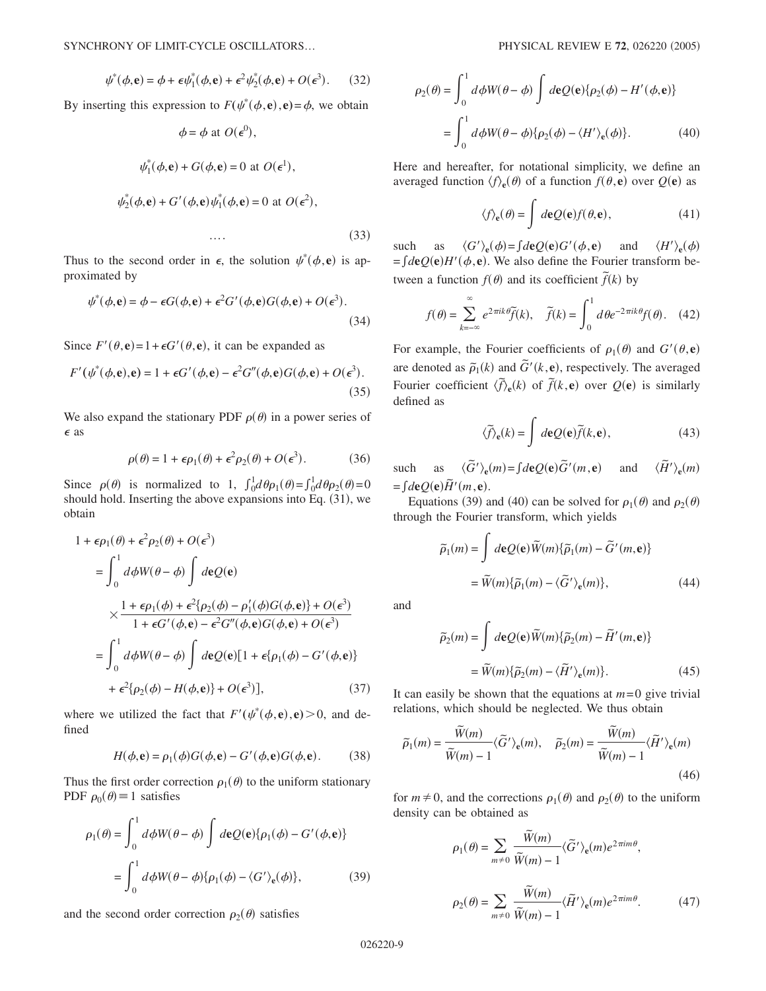$$
\psi^*(\phi, \mathbf{e}) = \phi + \epsilon \psi_1^*(\phi, \mathbf{e}) + \epsilon^2 \psi_2^*(\phi, \mathbf{e}) + O(\epsilon^3). \tag{32}
$$

By inserting this expression to  $F(\psi^*(\phi, \mathbf{e}), \mathbf{e}) = \phi$ , we obtain

$$
\phi = \phi \text{ at } O(\epsilon^0),
$$
  

$$
\psi_1^*(\phi, \mathbf{e}) + G(\phi, \mathbf{e}) = 0 \text{ at } O(\epsilon^1),
$$
  

$$
\psi_2^*(\phi, \mathbf{e}) + G'(\phi, \mathbf{e})\psi_1^*(\phi, \mathbf{e}) = 0 \text{ at } O(\epsilon^2),
$$

 $\cdots$  (33)

Thus to the second order in  $\epsilon$ , the solution  $\psi^*(\phi, \mathbf{e})$  is approximated by

$$
\psi^*(\phi, \mathbf{e}) = \phi - \epsilon G(\phi, \mathbf{e}) + \epsilon^2 G'(\phi, \mathbf{e}) G(\phi, \mathbf{e}) + O(\epsilon^3). \tag{34}
$$

Since  $F'(\theta, \mathbf{e}) = 1 + \epsilon G'(\theta, \mathbf{e})$ , it can be expanded as

$$
F'(\psi^*(\phi, \mathbf{e}), \mathbf{e}) = 1 + \epsilon G'(\phi, \mathbf{e}) - \epsilon^2 G''(\phi, \mathbf{e}) G(\phi, \mathbf{e}) + O(\epsilon^3).
$$
\n(35)

We also expand the stationary PDF  $\rho(\theta)$  in a power series of  $\epsilon$  as

$$
\rho(\theta) = 1 + \epsilon \rho_1(\theta) + \epsilon^2 \rho_2(\theta) + O(\epsilon^3). \tag{36}
$$

Since  $\rho(\theta)$  is normalized to 1,  $\int_0^1 d\theta \rho_1(\theta) = \int_0^1 d\theta \rho_2(\theta) = 0$ should hold. Inserting the above expansions into Eq. (31), we obtain

$$
1 + \epsilon \rho_1(\theta) + \epsilon^2 \rho_2(\theta) + O(\epsilon^3)
$$
  
= 
$$
\int_0^1 d\phi W(\theta - \phi) \int d\mathbf{e} Q(\mathbf{e})
$$
  

$$
\times \frac{1 + \epsilon \rho_1(\phi) + \epsilon^2 \{\rho_2(\phi) - \rho'_1(\phi)G(\phi, \mathbf{e})\} + O(\epsilon^3)}{1 + \epsilon G'(\phi, \mathbf{e}) - \epsilon^2 G''(\phi, \mathbf{e})G(\phi, \mathbf{e}) + O(\epsilon^3)}
$$
  
= 
$$
\int_0^1 d\phi W(\theta - \phi) \int d\mathbf{e} Q(\mathbf{e}) [1 + \epsilon \{\rho_1(\phi) - G'(\phi, \mathbf{e})\}
$$
  
+ 
$$
\epsilon^2 \{\rho_2(\phi) - H(\phi, \mathbf{e})\} + O(\epsilon^3)],
$$
(37)

where we utilized the fact that  $F'(\psi^*(\phi, \mathbf{e}), \mathbf{e}) > 0$ , and defined

$$
H(\phi, \mathbf{e}) = \rho_1(\phi)G(\phi, \mathbf{e}) - G'(\phi, \mathbf{e})G(\phi, \mathbf{e}).
$$
 (38)

Thus the first order correction  $\rho_1(\theta)$  to the uniform stationary PDF  $\rho_0(\theta) \equiv 1$  satisfies

$$
\rho_1(\theta) = \int_0^1 d\phi W(\theta - \phi) \int d\mathbf{e} Q(\mathbf{e}) \{ \rho_1(\phi) - G'(\phi, \mathbf{e}) \}
$$

$$
= \int_0^1 d\phi W(\theta - \phi) \{ \rho_1(\phi) - \langle G' \rangle_{\mathbf{e}}(\phi) \}, \tag{39}
$$

and the second order correction  $\rho_2(\theta)$  satisfies

$$
\rho_2(\theta) = \int_0^1 d\phi W(\theta - \phi) \int d\mathbf{e} Q(\mathbf{e}) \{ \rho_2(\phi) - H'(\phi, \mathbf{e}) \}
$$

$$
= \int_0^1 d\phi W(\theta - \phi) \{ \rho_2(\phi) - \langle H' \rangle_{\mathbf{e}}(\phi) \}. \tag{40}
$$

Here and hereafter, for notational simplicity, we define an averaged function  $\langle f \rangle_e(\theta)$  of a function  $f(\theta, \mathbf{e})$  over  $Q(\mathbf{e})$  as

$$
\langle f \rangle_{\mathbf{e}}(\theta) = \int d\mathbf{e} Q(\mathbf{e}) f(\theta, \mathbf{e}), \qquad (41)
$$

such as  $\langle G' \rangle_e(\phi) = \int d\mathbf{e} Q(\mathbf{e}) G'(\phi, \mathbf{e})$  and  $\langle H' \rangle_e(\phi)$  $\langle H' \rangle_e(\phi)$  $=f d\mathbf{e} Q(\mathbf{e}) H'(\phi, \mathbf{e})$ . We also define the Fourier transform between a function  $f(\theta)$  and its coefficient  $\tilde{f}(k)$  by

$$
f(\theta) = \sum_{k=-\infty}^{\infty} e^{2\pi i k \theta} \widetilde{f}(k), \quad \widetilde{f}(k) = \int_{0}^{1} d\theta e^{-2\pi i k \theta} f(\theta). \quad (42)
$$

For example, the Fourier coefficients of  $\rho_1(\theta)$  and  $G'(\theta, \mathbf{e})$ are denoted as  $\tilde{\rho}_1(k)$  and  $\tilde{G}'(k, e)$ , respectively. The averaged Fourier coefficient  $\langle \tilde{f} \rangle_e(k)$  of  $\tilde{f}(k, e)$  over  $Q(e)$  is similarly defined as

$$
\langle \tilde{f} \rangle_{\mathbf{e}}(k) = \int d\mathbf{e} Q(\mathbf{e}) \tilde{f}(k, \mathbf{e}), \qquad (43)
$$

such as  $\langle \tilde{G}' \rangle_e(m) = \int d\mathbf{e} Q(\mathbf{e}) \tilde{G}'(m, \mathbf{e})$ and  $\langle \tilde{H}' \rangle_e(m)$  $= \int d\mathbf{e} Q(\mathbf{e}) \tilde{H}'(m, \mathbf{e}).$ 

Equations (39) and (40) can be solved for  $\rho_1(\theta)$  and  $\rho_2(\theta)$ through the Fourier transform, which yields

$$
\widetilde{\rho}_1(m) = \int d\mathbf{e} Q(\mathbf{e}) \widetilde{W}(m) \{ \widetilde{\rho}_1(m) - \widetilde{G}'(m, \mathbf{e}) \}
$$

$$
= \widetilde{W}(m) \{ \widetilde{\rho}_1(m) - \langle \widetilde{G}' \rangle_{\mathbf{e}}(m) \}, \tag{44}
$$

and

$$
\widetilde{\rho}_2(m) = \int d\mathbf{e} Q(\mathbf{e}) \widetilde{W}(m) \{ \widetilde{\rho}_2(m) - \widetilde{H}'(m, \mathbf{e}) \}
$$

$$
= \widetilde{W}(m) \{ \widetilde{\rho}_2(m) - \langle \widetilde{H}' \rangle_{\mathbf{e}}(m) \}. \tag{45}
$$

It can easily be shown that the equations at  $m=0$  give trivial relations, which should be neglected. We thus obtain

$$
\widetilde{\rho}_1(m) = \frac{\widetilde{W}(m)}{\widetilde{W}(m) - 1} \langle \widetilde{G}' \rangle_{\mathbf{e}}(m), \quad \widetilde{\rho}_2(m) = \frac{\widetilde{W}(m)}{\widetilde{W}(m) - 1} \langle \widetilde{H}' \rangle_{\mathbf{e}}(m)
$$
\n(46)

for  $m \neq 0$ , and the corrections  $\rho_1(\theta)$  and  $\rho_2(\theta)$  to the uniform density can be obtained as

$$
\rho_1(\theta) = \sum_{m \neq 0} \frac{\widetilde{W}(m)}{\widetilde{W}(m) - 1} \langle \widetilde{G}' \rangle_e(m) e^{2\pi i m \theta},
$$

$$
\rho_2(\theta) = \sum_{m \neq 0} \frac{\widetilde{W}(m)}{\widetilde{W}(m) - 1} \langle \widetilde{H}' \rangle_e(m) e^{2\pi i m \theta}.
$$
(47)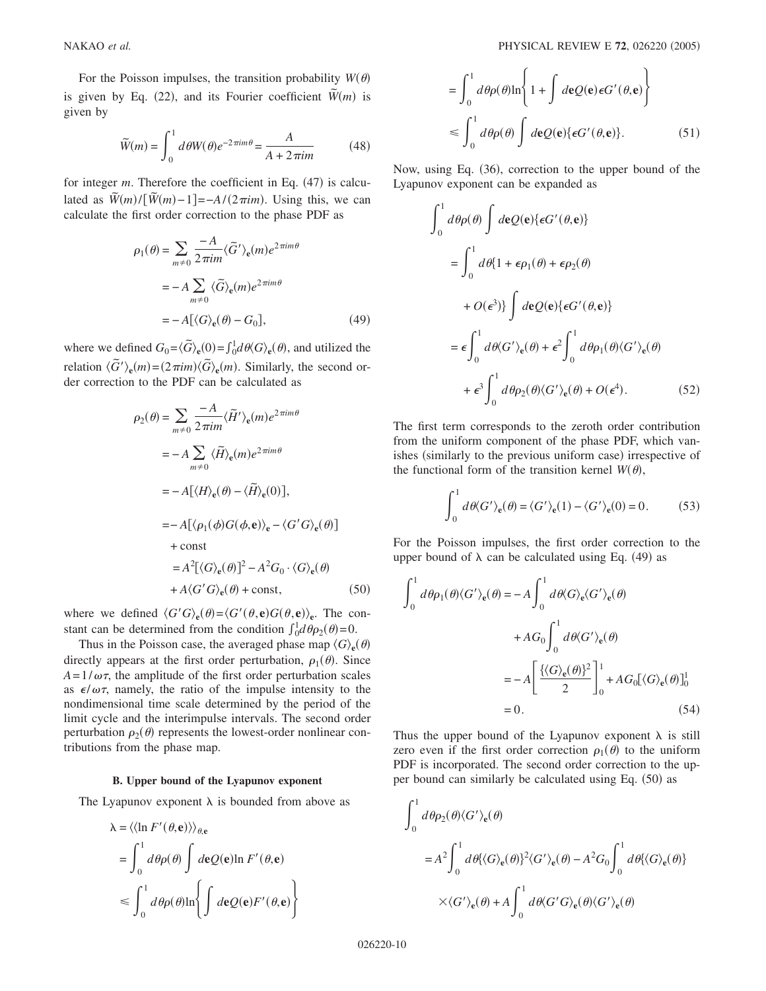For the Poisson impulses, the transition probability  $W(\theta)$ is given by Eq. (22), and its Fourier coefficient  $\widetilde{W}(m)$  is given by

$$
\widetilde{W}(m) = \int_0^1 d\theta W(\theta) e^{-2\pi im\theta} = \frac{A}{A + 2\pi im}
$$
\n(48)

for integer  $m$ . Therefore the coefficient in Eq.  $(47)$  is calculated as  $\widetilde{W}(m)/[\widetilde{W}(m)-1]=-A/(2\pi im)$ . Using this, we can calculate the first order correction to the phase PDF as

$$
\rho_1(\theta) = \sum_{m \neq 0} \frac{-A}{2\pi i m} \langle \tilde{G}' \rangle_e(m) e^{2\pi i m \theta}
$$

$$
= -A \sum_{m \neq 0} \langle \tilde{G} \rangle_e(m) e^{2\pi i m \theta}
$$

$$
= -A \big[ \langle G \rangle_e(\theta) - G_0 \big], \tag{49}
$$

where we defined  $G_0 = \langle \tilde{G} \rangle_e(0) = \int_0^1 d\theta \langle G \rangle_e(\theta)$ , and utilized the relation  $\langle \tilde{G}' \rangle_e(m) = (2 \pi i m) \langle \tilde{G} \rangle_e(m)$ . Similarly, the second order correction to the PDF can be calculated as

$$
\rho_2(\theta) = \sum_{m \neq 0} \frac{-A}{2\pi im} \langle \tilde{H}' \rangle_e(m) e^{2\pi im\theta}
$$
  
\n
$$
= -A \sum_{m \neq 0} \langle \tilde{H} \rangle_e(m) e^{2\pi im\theta}
$$
  
\n
$$
= -A [\langle H \rangle_e(\theta) - \langle \tilde{H} \rangle_e(0)],
$$
  
\n
$$
= -A [\langle \rho_1(\phi)G(\phi, \mathbf{e}) \rangle_e - \langle G'G \rangle_e(\theta)]
$$
  
\n
$$
+ const
$$
  
\n
$$
= A^2 [\langle G \rangle_e(\theta)]^2 - A^2 G_0 \cdot \langle G \rangle_e(\theta)
$$
  
\n
$$
+ A \langle G'G \rangle_e(\theta) + const,
$$
 (50)

where we defined  $\langle G'G \rangle_e(\theta) = \langle G'(\theta, e)G(\theta, e) \rangle_e$ . The constant can be determined from the condition  $\int_0^1 d\theta \rho_2(\theta) = 0$ .

Thus in the Poisson case, the averaged phase map  $\langle G \rangle_e(\theta)$ directly appears at the first order perturbation,  $\rho_1(\theta)$ . Since  $A=1/\omega\tau$ , the amplitude of the first order perturbation scales as  $\epsilon/\omega\tau$ , namely, the ratio of the impulse intensity to the nondimensional time scale determined by the period of the limit cycle and the interimpulse intervals. The second order perturbation  $\rho_2(\theta)$  represents the lowest-order nonlinear contributions from the phase map.

### **B. Upper bound of the Lyapunov exponent**

The Lyapunov exponent  $\lambda$  is bounded from above as

$$
\lambda = \langle \langle \ln F'(\theta, \mathbf{e}) \rangle \rangle_{\theta, \mathbf{e}}
$$
  
=  $\int_0^1 d\theta \rho(\theta) \int d\mathbf{e} Q(\mathbf{e}) \ln F'(\theta, \mathbf{e})$   
 $\leq \int_0^1 d\theta \rho(\theta) \ln \left\{ \int d\mathbf{e} Q(\mathbf{e}) F'(\theta, \mathbf{e}) \right\}$ 

$$
= \int_0^1 d\theta \rho(\theta) \ln\left\{1 + \int d\mathbf{e} Q(\mathbf{e}) \epsilon G'(\theta, \mathbf{e})\right\}
$$
  

$$
\leq \int_0^1 d\theta \rho(\theta) \int d\mathbf{e} Q(\mathbf{e}) \{ \epsilon G'(\theta, \mathbf{e}) \}. \tag{51}
$$

Now, using Eq. (36), correction to the upper bound of the Lyapunov exponent can be expanded as

$$
\int_0^1 d\theta \rho(\theta) \int d\mathbf{e} Q(\mathbf{e}) \{ \epsilon G'(\theta, \mathbf{e}) \}
$$
  
= 
$$
\int_0^1 d\theta \{ 1 + \epsilon \rho_1(\theta) + \epsilon \rho_2(\theta)
$$
  
+ 
$$
O(\epsilon^3) \} \int d\mathbf{e} Q(\mathbf{e}) \{ \epsilon G'(\theta, \mathbf{e}) \}
$$
  
= 
$$
\epsilon \int_0^1 d\theta \langle G' \rangle_{\mathbf{e}}(\theta) + \epsilon^2 \int_0^1 d\theta \rho_1(\theta) \langle G' \rangle_{\mathbf{e}}(\theta)
$$
  
+ 
$$
\epsilon^3 \int_0^1 d\theta \rho_2(\theta) \langle G' \rangle_{\mathbf{e}}(\theta) + O(\epsilon^4).
$$
 (52)

The first term corresponds to the zeroth order contribution from the uniform component of the phase PDF, which vanishes (similarly to the previous uniform case) irrespective of the functional form of the transition kernel  $W(\theta)$ ,

$$
\int_0^1 d\theta \langle G' \rangle_e(\theta) = \langle G' \rangle_e(1) - \langle G' \rangle_e(0) = 0.
$$
 (53)

For the Poisson impulses, the first order correction to the upper bound of  $\lambda$  can be calculated using Eq. (49) as

$$
\int_0^1 d\theta \rho_1(\theta) \langle G' \rangle_e(\theta) = -A \int_0^1 d\theta \langle G \rangle_e \langle G' \rangle_e(\theta)
$$

$$
+ A G_0 \int_0^1 d\theta \langle G' \rangle_e(\theta)
$$

$$
= -A \left[ \frac{\{\langle G \rangle_e(\theta)\}^2}{2} \right]_0^1 + A G_0 [\langle G \rangle_e(\theta)]_0^1
$$

$$
= 0. \tag{54}
$$

Thus the upper bound of the Lyapunov exponent  $\lambda$  is still zero even if the first order correction  $\rho_1(\theta)$  to the uniform PDF is incorporated. The second order correction to the upper bound can similarly be calculated using Eq. (50) as

$$
\int_0^1 d\theta \rho_2(\theta) \langle G' \rangle_e(\theta)
$$
  
=  $A^2 \int_0^1 d\theta \{ \langle G \rangle_e(\theta) \}^2 \langle G' \rangle_e(\theta) - A^2 G_0 \int_0^1 d\theta \{ \langle G \rangle_e(\theta) \}$   
 $\times \langle G' \rangle_e(\theta) + A \int_0^1 d\theta \langle G' G \rangle_e(\theta) \langle G' \rangle_e(\theta)$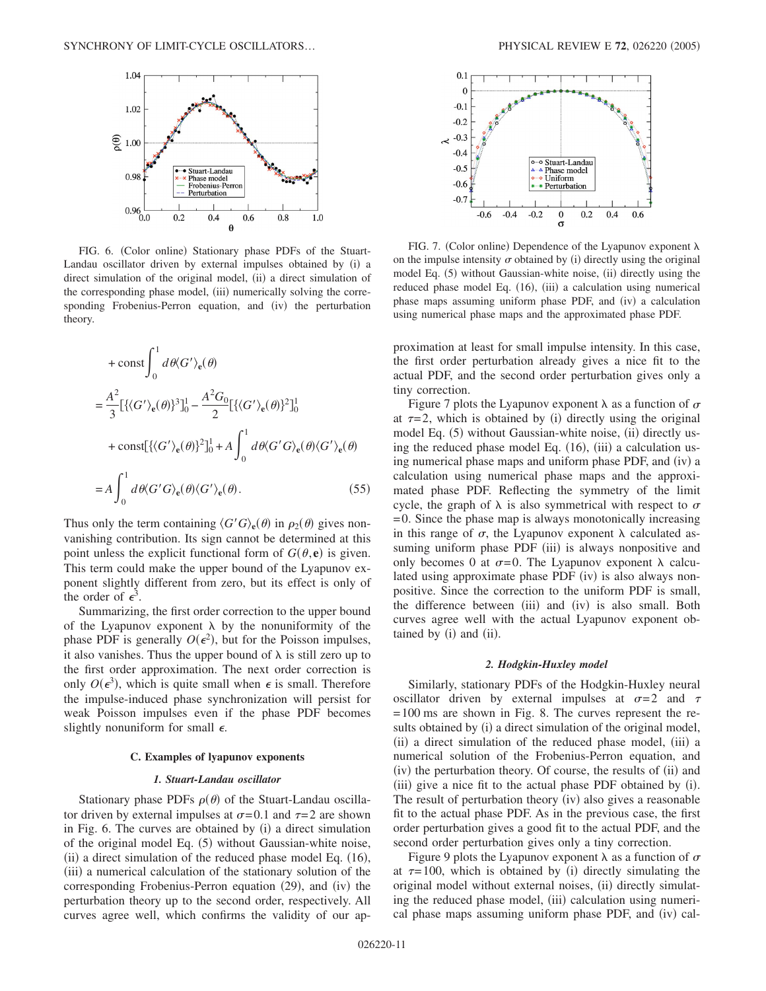

FIG. 6. (Color online) Stationary phase PDFs of the Stuart-Landau oscillator driven by external impulses obtained by (i) a direct simulation of the original model, (ii) a direct simulation of the corresponding phase model, (iii) numerically solving the corresponding Frobenius-Perron equation, and (iv) the perturbation theory.

$$
+ \text{const} \int_0^1 d\theta \langle G' \rangle_e(\theta)
$$
  
\n
$$
= \frac{A^2}{3} [\{ \langle G' \rangle_e(\theta) \}^3]_0^1 - \frac{A^2 G_0}{2} [\{ \langle G' \rangle_e(\theta) \}^2]_0^1
$$
  
\n
$$
+ \text{const} [\{ \langle G' \rangle_e(\theta) \}^2]_0^1 + A \int_0^1 d\theta \langle G' G \rangle_e(\theta) \langle G' \rangle_e(\theta)
$$
  
\n
$$
= A \int_0^1 d\theta \langle G' G \rangle_e(\theta) \langle G' \rangle_e(\theta). \tag{55}
$$

Thus only the term containing  $\langle G'G \rangle_e(\theta)$  in  $\rho_2(\theta)$  gives nonvanishing contribution. Its sign cannot be determined at this point unless the explicit functional form of  $G(\theta, \mathbf{e})$  is given. This term could make the upper bound of the Lyapunov exponent slightly different from zero, but its effect is only of the order of  $\epsilon^3$ .

Summarizing, the first order correction to the upper bound of the Lyapunov exponent  $\lambda$  by the nonuniformity of the phase PDF is generally  $O(\epsilon^2)$ , but for the Poisson impulses, it also vanishes. Thus the upper bound of  $\lambda$  is still zero up to the first order approximation. The next order correction is only  $O(\epsilon^3)$ , which is quite small when  $\epsilon$  is small. Therefore the impulse-induced phase synchronization will persist for weak Poisson impulses even if the phase PDF becomes slightly nonuniform for small  $\epsilon$ .

## **C. Examples of lyapunov exponents**

## *1. Stuart-Landau oscillator*

Stationary phase PDFs  $\rho(\theta)$  of the Stuart-Landau oscillator driven by external impulses at  $\sigma = 0.1$  and  $\tau = 2$  are shown in Fig. 6. The curves are obtained by (i) a direct simulation of the original model Eq. (5) without Gaussian-white noise, (ii) a direct simulation of the reduced phase model Eq. (16), (iii) a numerical calculation of the stationary solution of the corresponding Frobenius-Perron equation (29), and (iv) the perturbation theory up to the second order, respectively. All curves agree well, which confirms the validity of our ap-



FIG. 7. (Color online) Dependence of the Lyapunov exponent  $\lambda$ on the impulse intensity  $\sigma$  obtained by (i) directly using the original model Eq. (5) without Gaussian-white noise, (ii) directly using the reduced phase model Eq. (16), (iii) a calculation using numerical phase maps assuming uniform phase PDF, and (iv) a calculation using numerical phase maps and the approximated phase PDF.

proximation at least for small impulse intensity. In this case, the first order perturbation already gives a nice fit to the actual PDF, and the second order perturbation gives only a tiny correction.

Figure 7 plots the Lyapunov exponent  $\lambda$  as a function of  $\sigma$ at  $\tau = 2$ , which is obtained by (i) directly using the original model Eq. (5) without Gaussian-white noise, (ii) directly using the reduced phase model Eq. (16), (iii) a calculation using numerical phase maps and uniform phase PDF, and (iv) a calculation using numerical phase maps and the approximated phase PDF. Reflecting the symmetry of the limit cycle, the graph of  $\lambda$  is also symmetrical with respect to  $\sigma$  $= 0$ . Since the phase map is always monotonically increasing in this range of  $\sigma$ , the Lyapunov exponent  $\lambda$  calculated assuming uniform phase PDF (iii) is always nonpositive and only becomes 0 at  $\sigma = 0$ . The Lyapunov exponent  $\lambda$  calculated using approximate phase PDF (iv) is also always nonpositive. Since the correction to the uniform PDF is small, the difference between (iii) and (iv) is also small. Both curves agree well with the actual Lyapunov exponent obtained by (i) and (ii).

## *2. Hodgkin-Huxley model*

Similarly, stationary PDFs of the Hodgkin-Huxley neural oscillator driven by external impulses at  $\sigma = 2$  and  $\tau$ = 100 ms are shown in Fig. 8. The curves represent the results obtained by (i) a direct simulation of the original model, (ii) a direct simulation of the reduced phase model, (iii) a numerical solution of the Frobenius-Perron equation, and (iv) the perturbation theory. Of course, the results of (ii) and (iii) give a nice fit to the actual phase PDF obtained by (i). The result of perturbation theory (iv) also gives a reasonable fit to the actual phase PDF. As in the previous case, the first order perturbation gives a good fit to the actual PDF, and the second order perturbation gives only a tiny correction.

Figure 9 plots the Lyapunov exponent  $\lambda$  as a function of  $\sigma$ at  $\tau = 100$ , which is obtained by (i) directly simulating the original model without external noises, (ii) directly simulating the reduced phase model, (iii) calculation using numerical phase maps assuming uniform phase PDF, and (iv) cal-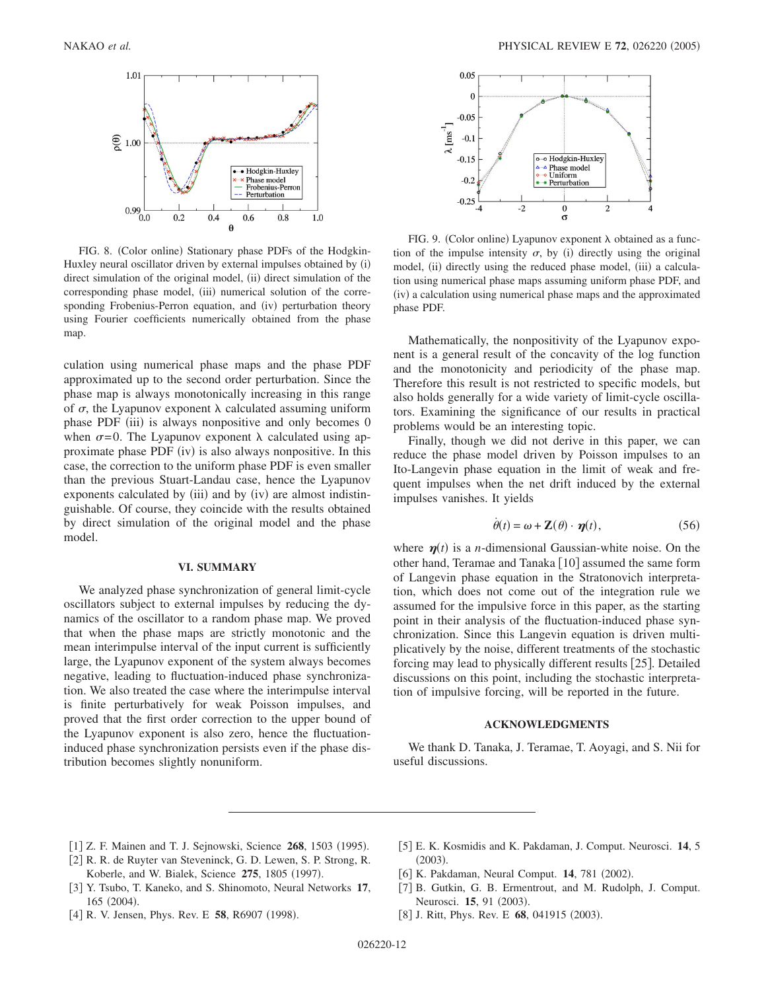

FIG. 8. (Color online) Stationary phase PDFs of the Hodgkin-Huxley neural oscillator driven by external impulses obtained by (i) direct simulation of the original model, (ii) direct simulation of the corresponding phase model, (iii) numerical solution of the corresponding Frobenius-Perron equation, and (iv) perturbation theory using Fourier coefficients numerically obtained from the phase map.

culation using numerical phase maps and the phase PDF approximated up to the second order perturbation. Since the phase map is always monotonically increasing in this range of  $\sigma$ , the Lyapunov exponent  $\lambda$  calculated assuming uniform phase PDF (iii) is always nonpositive and only becomes 0 when  $\sigma = 0$ . The Lyapunov exponent  $\lambda$  calculated using approximate phase PDF (iv) is also always nonpositive. In this case, the correction to the uniform phase PDF is even smaller than the previous Stuart-Landau case, hence the Lyapunov exponents calculated by (iii) and by (iv) are almost indistinguishable. Of course, they coincide with the results obtained by direct simulation of the original model and the phase model.

#### **VI. SUMMARY**

We analyzed phase synchronization of general limit-cycle oscillators subject to external impulses by reducing the dynamics of the oscillator to a random phase map. We proved that when the phase maps are strictly monotonic and the mean interimpulse interval of the input current is sufficiently large, the Lyapunov exponent of the system always becomes negative, leading to fluctuation-induced phase synchronization. We also treated the case where the interimpulse interval is finite perturbatively for weak Poisson impulses, and proved that the first order correction to the upper bound of the Lyapunov exponent is also zero, hence the fluctuationinduced phase synchronization persists even if the phase distribution becomes slightly nonuniform.



FIG. 9. (Color online) Lyapunov exponent  $\lambda$  obtained as a function of the impulse intensity  $\sigma$ , by (i) directly using the original model, (ii) directly using the reduced phase model, (iii) a calculation using numerical phase maps assuming uniform phase PDF, and (iv) a calculation using numerical phase maps and the approximated phase PDF.

Mathematically, the nonpositivity of the Lyapunov exponent is a general result of the concavity of the log function and the monotonicity and periodicity of the phase map. Therefore this result is not restricted to specific models, but also holds generally for a wide variety of limit-cycle oscillators. Examining the significance of our results in practical problems would be an interesting topic.

Finally, though we did not derive in this paper, we can reduce the phase model driven by Poisson impulses to an Ito-Langevin phase equation in the limit of weak and frequent impulses when the net drift induced by the external impulses vanishes. It yields

$$
\dot{\theta}(t) = \omega + \mathbf{Z}(\theta) \cdot \boldsymbol{\eta}(t),\tag{56}
$$

where  $\eta(t)$  is a *n*-dimensional Gaussian-white noise. On the other hand, Teramae and Tanaka [10] assumed the same form of Langevin phase equation in the Stratonovich interpretation, which does not come out of the integration rule we assumed for the impulsive force in this paper, as the starting point in their analysis of the fluctuation-induced phase synchronization. Since this Langevin equation is driven multiplicatively by the noise, different treatments of the stochastic forcing may lead to physically different results [25]. Detailed discussions on this point, including the stochastic interpretation of impulsive forcing, will be reported in the future.

# **ACKNOWLEDGMENTS**

We thank D. Tanaka, J. Teramae, T. Aoyagi, and S. Nii for useful discussions.

- [1] Z. F. Mainen and T. J. Sejnowski, Science 268, 1503 (1995).
- [2] R. R. de Ruyter van Steveninck, G. D. Lewen, S. P. Strong, R. Koberle, and W. Bialek, Science 275, 1805 (1997).
- 3 Y. Tsubo, T. Kaneko, and S. Shinomoto, Neural Networks **17**, 165 (2004).
- [4] R. V. Jensen, Phys. Rev. E 58, R6907 (1998).
- 5 E. K. Kosmidis and K. Pakdaman, J. Comput. Neurosci. **14**, 5  $(2003).$
- [6] K. Pakdaman, Neural Comput. 14, 781 (2002).
- [7] B. Gutkin, G. B. Ermentrout, and M. Rudolph, J. Comput. Neurosci. **15**, 91 (2003).
- [8] J. Ritt, Phys. Rev. E 68, 041915 (2003).